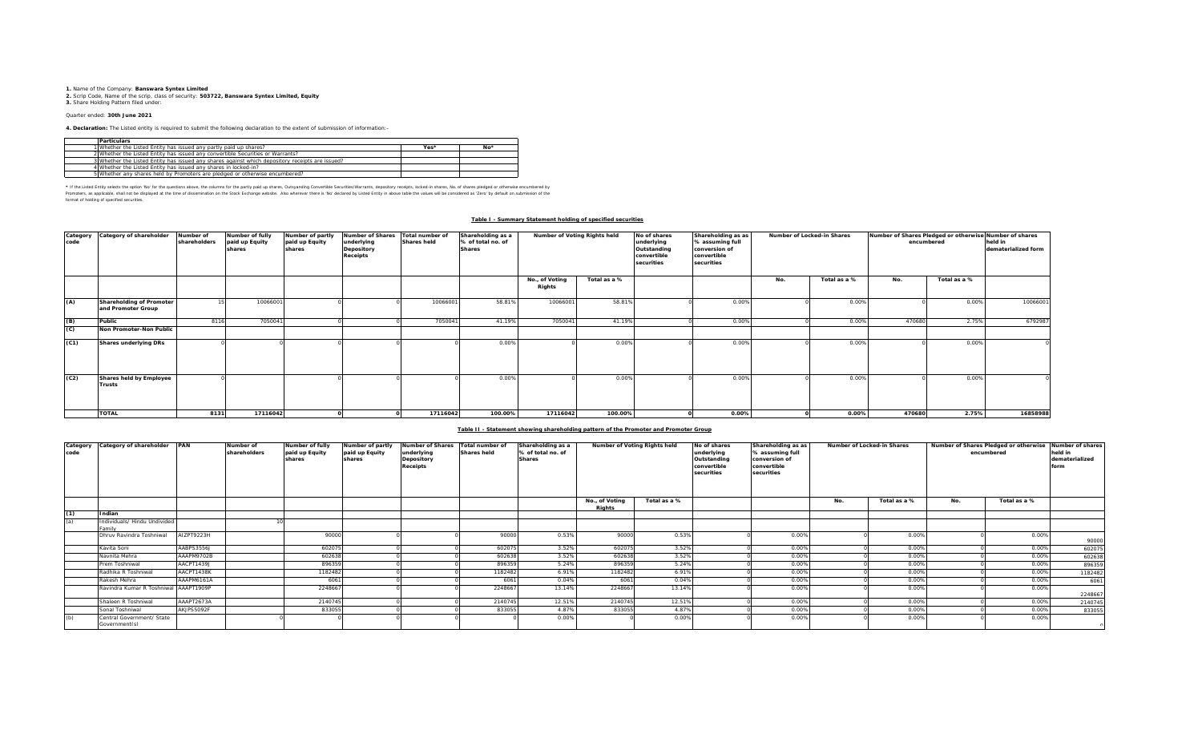**1.** Name of the Company: **Banswara Syntex Limited 2.** Scrip Code, Name of the scrip, class of security: **503722, Banswara Syntex Limited, Equity 3.** Share Holding Pattern filed under:

## Quarter ended: **30th June 2021**

**4. Declaration:** The Listed entity is required to submit the following declaration to the extent of submission of information:-

| <b>Particulars</b>                                                                              |      |       |
|-------------------------------------------------------------------------------------------------|------|-------|
| 1 Whether the Listed Entity has issued any partly paid up shares?                               | Yes* | $No*$ |
| 2 Whether the Listed Entity has issued any convertible Securities or Warrants?                  |      |       |
| 3 Whether the Listed Entity has issued any shares against which depository receipts are issued? |      |       |
| 4 Whether the Listed Entity has issued any shares in locked-in?                                 |      |       |
| 5 Whether any shares held by Promoters are pledged or otherwise encumbered?                     |      |       |

\* If ne Listed Ently selects ine opton War for the equasitons above, the outwars for the partly share, Quityandng Convertible Securities/Warrants, depository receipts, boked-in shares, No. of shares predget or otherwise in format of holding of specified securities.

### **Table I - Summary Statement holding of specified securities**

| Category<br>code | Category of shareholder                        | Number of<br>shareholders | Number of fully<br>paid up Equity<br>shares | Number of partly<br>paid up Equity<br>shares | <b>Number of Shares</b><br>underlying<br>Depository<br><b>Receipts</b> | Total number of<br><b>Shares held</b> | Shareholding as a<br>% of total no. of<br><b>Shares</b> | Number of Voting Rights held |              | No of shares<br>underlying<br>Outstanding<br>convertible<br>securities | Shareholding as as<br>% assuming full<br>conversion of<br>convertible<br>securities | Number of Locked-in Shares |              | Number of Shares Pledged or otherwise Number of shares<br>encumbered | held in<br>dematerialized form |          |
|------------------|------------------------------------------------|---------------------------|---------------------------------------------|----------------------------------------------|------------------------------------------------------------------------|---------------------------------------|---------------------------------------------------------|------------------------------|--------------|------------------------------------------------------------------------|-------------------------------------------------------------------------------------|----------------------------|--------------|----------------------------------------------------------------------|--------------------------------|----------|
|                  |                                                |                           |                                             |                                              |                                                                        |                                       |                                                         | No., of Voting<br>Rights     | Total as a % |                                                                        |                                                                                     | No.                        | Total as a % | No.                                                                  | Total as a %                   |          |
| (A)              | Shareholding of Promoter<br>and Promoter Group |                           | 10066001                                    |                                              |                                                                        | 10066001                              | 58.81%                                                  | 10066001                     | 58.81%       |                                                                        | 0.00%                                                                               |                            | 0.00%        |                                                                      | 0.00%                          | 10066001 |
| (B)              | Public                                         | 8116                      | 705004                                      |                                              |                                                                        | 7050041                               | 41.19%                                                  | 705004                       | 41.19%       |                                                                        | 0.00%                                                                               |                            | 0.00%        | 470680                                                               | 2.75%                          | 6792987  |
| (C)              | Non Promoter-Non Public                        |                           |                                             |                                              |                                                                        |                                       |                                                         |                              |              |                                                                        |                                                                                     |                            |              |                                                                      |                                |          |
| (C1)             | <b>Shares underlying DRs</b>                   |                           |                                             |                                              |                                                                        |                                       | 0.009                                                   |                              | 0.00%        |                                                                        | 0.00%                                                                               |                            | 0.00%        |                                                                      | 0.00%                          |          |
| (C2)             | Shares held by Employee<br><b>Trusts</b>       |                           |                                             |                                              |                                                                        |                                       | 0.009                                                   |                              | 0.00%        |                                                                        | 0.00%                                                                               |                            | 0.00%        |                                                                      | 0.00%                          |          |
|                  | <b>TOTAL</b>                                   | 8131                      | 17116042                                    |                                              |                                                                        | 17116042                              | 100.00%                                                 | 17116042                     | 100.00%      |                                                                        | $0.00\%$                                                                            |                            | 0.00%        | 470680                                                               | 2.75%                          | 16858988 |

## **Table II - Statement showing shareholding pattern of the Promoter and Promoter Group**

| Category<br>code | Category of shareholder PAN               |            | Number of<br>shareholders | Number of fully<br>paid up Equity<br>shares | Number of partly<br>paid up Equity<br>shares | <b>Number of Shares</b><br>underlying<br>Depository<br><b>Receipts</b> | Total number of<br><b>Shares held</b> | Shareholding as a<br>% of total no. of<br><b>Shares</b> | Number of Voting Rights held |              | No of shares<br>underlying<br>Outstanding<br>convertible<br>securities | Shareholding as as<br>% assuming full<br>conversion of<br>convertible<br>securities |     | Number of Locked-in Shares |     | Number of Shares Pledged or otherwise Number of shares<br>encumbered | held in<br>dematerialized<br>form |
|------------------|-------------------------------------------|------------|---------------------------|---------------------------------------------|----------------------------------------------|------------------------------------------------------------------------|---------------------------------------|---------------------------------------------------------|------------------------------|--------------|------------------------------------------------------------------------|-------------------------------------------------------------------------------------|-----|----------------------------|-----|----------------------------------------------------------------------|-----------------------------------|
|                  |                                           |            |                           |                                             |                                              |                                                                        |                                       |                                                         | No., of Voting<br>Rights     | Total as a % |                                                                        |                                                                                     | No. | Total as a %               | No. | Total as a %                                                         |                                   |
| (1)              | Indian                                    |            |                           |                                             |                                              |                                                                        |                                       |                                                         |                              |              |                                                                        |                                                                                     |     |                            |     |                                                                      |                                   |
| (a)              | Individuals/ Hindu Undivided<br>Family    |            |                           |                                             |                                              |                                                                        |                                       |                                                         |                              |              |                                                                        |                                                                                     |     |                            |     |                                                                      |                                   |
|                  | Dhruv Ravindra Toshniwal                  | AIZPT9223H |                           | 90000                                       |                                              |                                                                        | 90000                                 | 0.53%                                                   | 90000                        | 0.53%        |                                                                        | 0.00%                                                                               |     | 0.00%                      |     | 0.00%                                                                | 90000                             |
|                  | Kavita Soni                               | AABPS3556J |                           | 602075                                      |                                              |                                                                        | 602075                                | 3.52%                                                   | 60207                        | 3.52%        |                                                                        | 0.00%                                                                               |     | 0.00%                      |     | 0.00%                                                                | 602075                            |
|                  | Navnita Mehra                             | AAAPM9702B |                           | 60263                                       |                                              |                                                                        | 602638                                | 3.52%                                                   | 602638                       | 3.52%        |                                                                        | 0.00%                                                                               |     | 0.00%                      |     | 0.00%                                                                | 602638                            |
|                  | Prem Toshniwal                            | AACPT1439J |                           | 896359                                      |                                              |                                                                        | 896359                                | 5.24%                                                   | 896359                       | 5.24%        |                                                                        | 0.00%                                                                               |     | 0.00%                      |     | 0.00%                                                                | 896359                            |
|                  | Radhika R Toshniwal                       | AACPT1438K |                           | 1182482                                     |                                              |                                                                        | 1182482                               | 6.91%                                                   | 1182482                      | 6.91%        |                                                                        | 0.00%                                                                               |     | 0.00%                      |     | 0.00%                                                                | 1182482                           |
|                  | Rakesh Mehra                              | AAAPM6161A |                           | 6061                                        |                                              |                                                                        | 606                                   | 0.04%                                                   | 6061                         | 0.04%        |                                                                        | 0.00%                                                                               |     | 0.00%                      |     | 0.00%                                                                | 6061                              |
|                  | Ravindra Kumar R Toshniwal AAAPT1909P     |            |                           | 224866                                      |                                              |                                                                        | 224866                                | 13.14%                                                  | 2248667                      | 13.14%       |                                                                        | 0.00%                                                                               |     | 0.00%                      |     | 0.00%                                                                | 2248667                           |
|                  | Shaleen R Toshniwal                       | AAAPT2673A |                           | 2140745                                     |                                              |                                                                        | 2140745                               | 12.51%                                                  | 2140745                      | 12.51%       |                                                                        | 0.00%                                                                               |     | 0.00%                      |     | 0.00%                                                                | 2140745                           |
|                  | Sonal Toshniwal                           | AKJPS5092F |                           | 833055                                      |                                              |                                                                        | 833055                                | 4.87%                                                   | 83305                        | 4.87%        |                                                                        | 0.00%                                                                               |     | 0.00%                      |     | 0.00%                                                                | 833055                            |
|                  | Central Government/ State<br>Goverment(s) |            |                           |                                             |                                              |                                                                        |                                       | 0.00%                                                   |                              | 0.00%        |                                                                        | 0.00%                                                                               |     | 0.00%                      |     | 0.00%                                                                |                                   |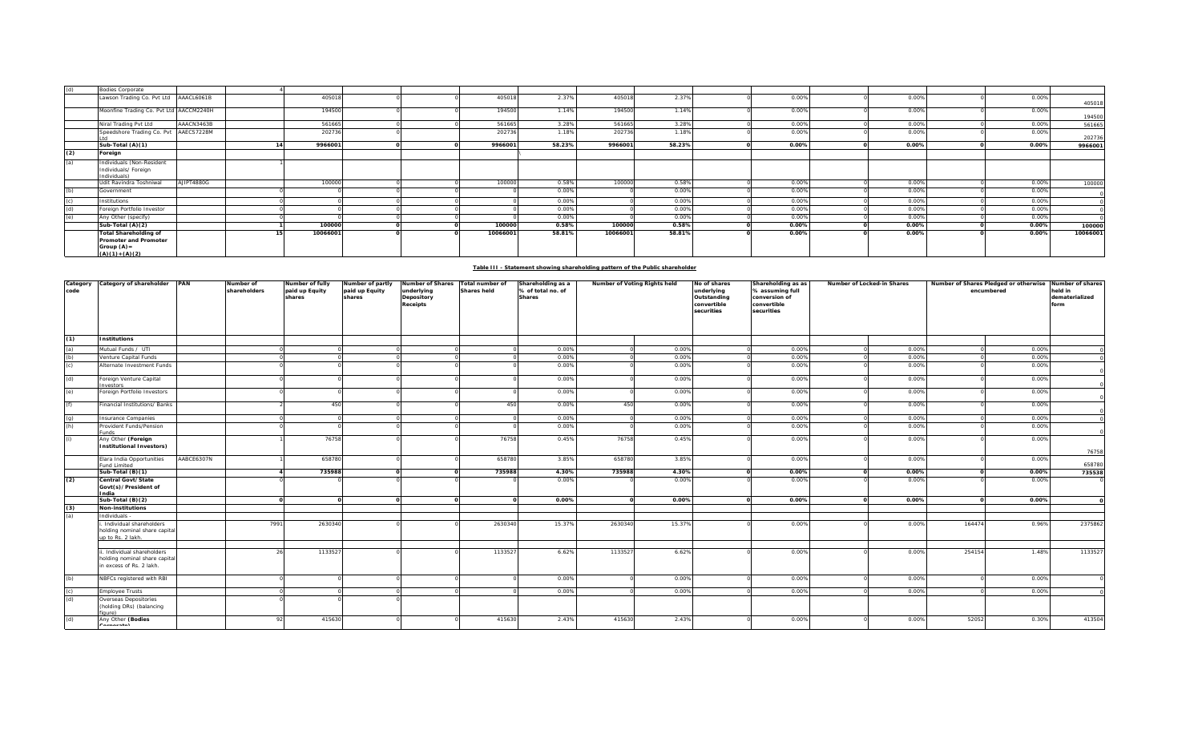| (d) | <b>Bodies Corporate</b>                                                                   |            |          |  |          |        |          |        |       |       |          |          |
|-----|-------------------------------------------------------------------------------------------|------------|----------|--|----------|--------|----------|--------|-------|-------|----------|----------|
|     | Lawson Trading Co. Pvt Ltd AAACL6061B                                                     |            | 405018   |  | 405018   | 2.37%  | 405018   | 2.37%  | 0.00% | 0.00% | 0.00%    | 405018   |
|     | Moonfine Trading Co. Pvt Ltd AACCM2240H                                                   |            | 194500   |  | 194500   | 1.14%  | 194500   | 1.14%  | 0.00% | 0.00% | 0.00%    | 194500   |
|     | Niral Trading Pvt Ltd                                                                     | AAACN3463B | 561665   |  | 561665   | 3.28%  | 561665   | 3.28%  | 0.00% | 0.00% | 0.00%    | 561665   |
|     | Speedshore Trading Co. Pvt AAECS7228M                                                     |            | 202736   |  | 202736   | 1.18%  | 202736   | 1.18%  | 0.00% | 0.00% | 0.00%    | 202736   |
|     | Sub-Total (A)(1)                                                                          |            | 9966001  |  | 9966001  | 58.23% | 9966001  | 58.23% | 0.00% | 0.00% | 0.00%    | 9966001  |
| (2) | Foreign                                                                                   |            |          |  |          |        |          |        |       |       |          |          |
| (a) | Individuals (Non-Resident<br>Individuals/ Foreign<br>Individuals)                         |            |          |  |          |        |          |        |       |       |          |          |
|     | Udit Ravindra Toshniwal                                                                   | AJIPT4880G | 100000   |  | 100000   | 0.58%  | 100000   | 0.58%  | 0.00% | 0.00% | 0.00%    | 100000   |
| (h) | Government                                                                                |            |          |  |          | 0.00%  |          | 0.00%  | 0.00% | 0.00% | 0.00%    |          |
|     | Institutions                                                                              |            |          |  |          | 0.00%  |          | 0.00%  | 0.00% | 0.00% | 0.00%    |          |
|     | Foreign Portfolio Investor                                                                |            |          |  |          | 0.00%  |          | 0.00%  | 0.00% | 0.00% | 0.00%    |          |
|     | Any Other (specify)                                                                       |            |          |  |          | 0.00%  |          | 0.00%  | 0.00% | 0.00% | 0.00%    |          |
|     | Sub-Total (A)(2)                                                                          |            | 100000   |  | 100000   | 0.58%  | 100000   | 0.58%  | 0.00% | 0.00% | $0.00\%$ | 100000   |
|     | <b>Total Shareholding of</b><br>Promoter and Promoter<br>Group $(A)$ =<br>$(A)(1)+(A)(2)$ |            | 10066001 |  | 10066001 | 58.81% | 10066001 | 58.81% | 0.00% | 0.00% | 0.00%    | 10066001 |

## **Table III - Statement showing shareholding pattern of the Public shareholder**

| Category<br>code  | Category of shareholder PAN                                                            |            | Number of<br>shareholders | Number of fully<br>paid up Equity<br>shares | Number of partly<br>paid up Equity<br>shares | Number of Shares<br>underlying<br>Depository<br>Receipts | Total number of<br><b>Shares held</b> | Shareholding as a<br>% of total no. of<br><b>Shares</b> | Number of Voting Rights held |                | No of shares<br>underlying<br>Outstanding<br>convertible<br>securities | Shareholding as as<br>% assuming full<br>conversion of<br>convertible<br>securities | Number of Locked-in Shares |                |        | Number of Shares Pledged or otherwise Number of shares<br>encumbered | held in<br>dematerialized<br>form |
|-------------------|----------------------------------------------------------------------------------------|------------|---------------------------|---------------------------------------------|----------------------------------------------|----------------------------------------------------------|---------------------------------------|---------------------------------------------------------|------------------------------|----------------|------------------------------------------------------------------------|-------------------------------------------------------------------------------------|----------------------------|----------------|--------|----------------------------------------------------------------------|-----------------------------------|
| (1)               | <b>Institutions</b>                                                                    |            |                           |                                             |                                              |                                                          |                                       |                                                         |                              |                |                                                                        |                                                                                     |                            |                |        |                                                                      |                                   |
|                   | Mutual Funds / UTI<br>/enture Capital Funds                                            |            |                           |                                             |                                              |                                                          |                                       | 0.00%<br>0.00%                                          |                              | 0.00%<br>0.00% |                                                                        | 0.00%<br>0.00%                                                                      |                            | 0.00%<br>0.00% |        | 0.00%<br>0.00%                                                       |                                   |
| (a)<br>(b)<br>(c) | Alternate Investment Funds                                                             |            |                           |                                             |                                              |                                                          |                                       | 0.00%                                                   |                              | 0.00%          |                                                                        | 0.00%                                                                               |                            | 0.00%          |        | 0.00%                                                                |                                   |
| (d)               | Foreign Venture Capital                                                                |            |                           |                                             |                                              |                                                          |                                       | 0.00%                                                   |                              | 0.00%          |                                                                        | 0.00%                                                                               |                            | 0.00%          |        | 0.00%                                                                |                                   |
|                   | <b>nvestors</b>                                                                        |            |                           |                                             |                                              |                                                          |                                       |                                                         |                              |                |                                                                        |                                                                                     |                            |                |        |                                                                      |                                   |
| (e)               | Foreign Portfolio Investors                                                            |            |                           |                                             |                                              |                                                          |                                       | 0.00%                                                   |                              | 0.00%          |                                                                        | 0.00%                                                                               |                            | 0.00%          |        | 0.00%                                                                |                                   |
| (f)               | inancial Institutions/ Banks                                                           |            |                           | 450                                         |                                              |                                                          | 450                                   | 0.00%                                                   | 450                          | 0.00%          |                                                                        | 0.00%                                                                               |                            | 0.00%          |        | 0.00%                                                                |                                   |
| $\frac{1}{2}$     | nsurance Companies                                                                     |            |                           |                                             |                                              |                                                          |                                       | 0.00%                                                   |                              | 0.00%          |                                                                        | 0.00%                                                                               |                            | 0.00%          |        | 0.00%                                                                |                                   |
|                   | rovident Funds/Pension<br>unds                                                         |            |                           |                                             |                                              |                                                          |                                       | 0.00%                                                   |                              | 0.00%          |                                                                        | 0.00%                                                                               |                            | 0.00%          |        | 0.00%                                                                |                                   |
| (i)               | Any Other (Foreign                                                                     |            |                           | 76758                                       |                                              |                                                          | 76758                                 | 0.45%                                                   | 76758                        | 0.45%          |                                                                        | 0.00%                                                                               |                            | 0.00%          |        | 0.00%                                                                |                                   |
|                   | <b>Institutional Investors)</b>                                                        |            |                           |                                             |                                              |                                                          |                                       |                                                         |                              |                |                                                                        |                                                                                     |                            |                |        |                                                                      | 76758                             |
|                   | Elara India Opportunities<br>und Limited                                               | AABCE6307N |                           | 658780                                      |                                              |                                                          | 658780                                | 3.85%                                                   | 658780                       | 3.85%          |                                                                        | 0.00%                                                                               |                            | 0.00%          |        | 0.00%                                                                | 658780                            |
|                   | Sub-Total (B)(1)                                                                       |            |                           | 735988                                      |                                              |                                                          | 735988                                | 4.30%                                                   | 735988                       | 4.30%          |                                                                        | 0.00%                                                                               |                            | 0.00%          |        | 0.00%                                                                | 735538                            |
| (2)               | Central Govt/State<br>Govt(s)/President of<br>ndia                                     |            |                           |                                             |                                              |                                                          |                                       | 0.00%                                                   |                              | 0.00%          |                                                                        | 0.00%                                                                               |                            | 0.00%          |        | 0.00%                                                                |                                   |
|                   | Sub-Total (B)(2)                                                                       |            |                           | $\Omega$                                    |                                              | $\Omega$                                                 |                                       | 0.00%                                                   |                              | 0.00%          |                                                                        | 0.00%                                                                               |                            | 0.00%          |        | 0.00%                                                                |                                   |
| $\frac{(3)}{(a)}$ | Non-institutions                                                                       |            |                           |                                             |                                              |                                                          |                                       |                                                         |                              |                |                                                                        |                                                                                     |                            |                |        |                                                                      |                                   |
|                   | Individuals -                                                                          |            |                           |                                             |                                              |                                                          |                                       |                                                         |                              |                |                                                                        |                                                                                     |                            |                |        |                                                                      |                                   |
|                   | Individual shareholders<br>holding nominal share capital<br>up to Rs. 2 lakh.          |            | 7991                      | 2630340                                     |                                              |                                                          | 2630340                               | 15.37%                                                  | 2630340                      | 15.37%         |                                                                        | 0.00%                                                                               |                            | 0.00%          | 164474 | 0.96%                                                                | 2375862                           |
|                   | . Individual shareholders<br>holding nominal share capital<br>in excess of Rs. 2 lakh. |            |                           | 1133527                                     |                                              |                                                          | 113352                                | 6.62%                                                   | 1133527                      | 6.62%          |                                                                        | 0.00%                                                                               |                            | 0.00%          | 254154 | 1.48%                                                                | 1133527                           |
| (b)               | NBFCs registered with RBI                                                              |            |                           |                                             |                                              |                                                          |                                       | 0.00%                                                   |                              | 0.00%          |                                                                        | 0.00%                                                                               |                            | 0.00%          |        | 0.00%                                                                |                                   |
| $\frac{c}{d}$     | mployee Trusts                                                                         |            |                           |                                             |                                              |                                                          |                                       | 0.00%                                                   |                              | 0.00%          |                                                                        | 0.00%                                                                               |                            | 0.00%          |        | 0.00%                                                                |                                   |
|                   | Overseas Depositories<br>(holding DRs) (balancing<br>iaure)                            |            |                           |                                             |                                              |                                                          |                                       |                                                         |                              |                |                                                                        |                                                                                     |                            |                |        |                                                                      |                                   |
| (d)               | Any Other (Bodies<br>$\cdots$                                                          |            | 92                        | 415630                                      |                                              |                                                          | 415630                                | 2.43%                                                   | 415630                       | 2.43%          |                                                                        | 0.00%                                                                               |                            | 0.00%          | 52052  | 0.30%                                                                | 413504                            |